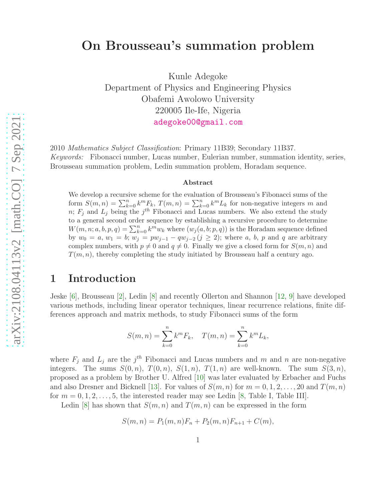# arXiv:2108.04113v2 [math.CO] 7 Sep 2021 [arXiv:2108.04113v2 \[math.CO\] 7 Sep 2021](http://arxiv.org/abs/2108.04113v2)

# On Brousseau's summation problem

Kunle Adegoke Department of Physics and Engineering Physics Obafemi Awolowo University 220005 Ile-Ife, Nigeria [adegoke00@gmail.com](mailto:adegoke00@gmail.com)

2010 *Mathematics Subject Classification*: Primary 11B39; Secondary 11B37. *Keywords:* Fibonacci number, Lucas number, Eulerian number, summation identity, series, Brousseau summation problem, Ledin summation problem, Horadam sequence.

### Abstract

We develop a recursive scheme for the evaluation of Brousseau's Fibonacci sums of the form  $S(m, n) = \sum_{k=0}^{n} k^{m} F_{k}$ ,  $T(m, n) = \sum_{k=0}^{n} k^{m} L_{k}$  for non-negative integers m and n;  $F_j$  and  $L_j$  being the j<sup>th</sup> Fibonacci and Lucas numbers. We also extend the study to a general second order sequence by establishing a recursive procedure to determine  $W(m, n; a, b, p, q) = \sum_{k=0}^{n} k^{m} w_{k}$  where  $(w_{j}(a, b; p, q))$  is the Horadam sequence defined by  $w_0 = a, w_1 = b; w_j = pw_{j-1} - qw_{j-2} (j \ge 2)$ ; where a, b, p and q are arbitrary complex numbers, with  $p \neq 0$  and  $q \neq 0$ . Finally we give a closed form for  $S(m, n)$  and  $T(m, n)$ , thereby completing the study initiated by Brousseau half a century ago.

### 1 Introduction

Jeske [\[6\]](#page-13-0), Brousseau [\[2\]](#page-13-1), Ledin [\[8\]](#page-13-2) and recently Ollerton and Shannon [\[12,](#page-14-0) [9\]](#page-13-3) have developed various methods, including linear operator techniques, linear recurrence relations, finite differences approach and matrix methods, to study Fibonacci sums of the form

$$
S(m, n) = \sum_{k=0}^{n} k^{m} F_{k}, \quad T(m, n) = \sum_{k=0}^{n} k^{m} L_{k},
$$

where  $F_j$  and  $L_j$  are the  $j<sup>th</sup>$  Fibonacci and Lucas numbers and m and n are non-negative integers. The sums  $S(0, n)$ ,  $T(0, n)$ ,  $S(1, n)$ ,  $T(1, n)$  are well-known. The sum  $S(3, n)$ , proposed as a problem by Brother U. Alfred [\[10\]](#page-13-4) was later evaluated by Erbacher and Fuchs and also Dresner and Bicknell [\[13\]](#page-14-1). For values of  $S(m, n)$  for  $m = 0, 1, 2, \ldots, 20$  and  $T(m, n)$ for  $m = 0, 1, 2, \ldots, 5$ , the interested reader may see Ledin [\[8,](#page-13-2) Table I, Table III].

Ledin [\[8\]](#page-13-2) has shown that  $S(m, n)$  and  $T(m, n)$  can be expressed in the form

$$
S(m, n) = P_1(m, n)F_n + P_2(m, n)F_{n+1} + C(m),
$$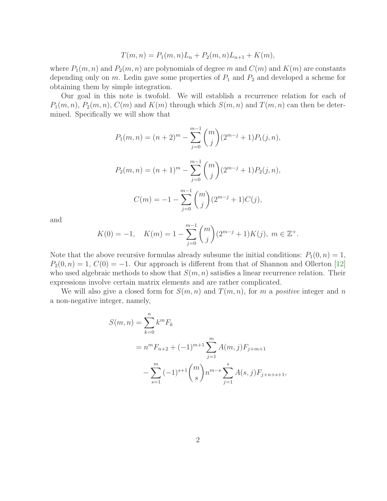$$
T(m, n) = P_1(m, n)L_n + P_2(m, n)L_{n+1} + K(m),
$$

where  $P_1(m, n)$  and  $P_2(m, n)$  are polynomials of degree m and  $C(m)$  and  $K(m)$  are constants depending only on  $m$ . Ledin gave some properties of  $P_1$  and  $P_2$  and developed a scheme for obtaining them by simple integration.

Our goal in this note is twofold. We will establish a recurrence relation for each of  $P_1(m, n)$ ,  $P_2(m, n)$ ,  $C(m)$  and  $K(m)$  through which  $S(m, n)$  and  $T(m, n)$  can then be determined. Specifically we will show that

$$
P_1(m, n) = (n+2)^m - \sum_{j=0}^{m-1} {m \choose j} (2^{m-j} + 1) P_1(j, n),
$$
  

$$
P_2(m, n) = (n+1)^m - \sum_{j=0}^{m-1} {m \choose j} (2^{m-j} + 1) P_2(j, n),
$$
  

$$
C(m) = -1 - \sum_{j=0}^{m-1} {m \choose j} (2^{m-j} + 1) C(j),
$$

and

$$
K(0) = -1, \quad K(m) = 1 - \sum_{j=0}^{m-1} {m \choose j} (2^{m-j} + 1) K(j), \ m \in \mathbb{Z}^+.
$$

Note that the above recursive formulas already subsume the initial conditions:  $P_1(0, n) = 1$ ,  $P_2(0, n) = 1, C(0) = -1.$  Our approach is different from that of Shannon and Ollerton [\[12\]](#page-14-0) who used algebraic methods to show that  $S(m, n)$  satisfies a linear recurrence relation. Their expressions involve certain matrix elements and are rather complicated.

We will also give a closed form for  $S(m, n)$  and  $T(m, n)$ , for m a *positive* integer and n a non-negative integer, namely,

$$
S(m, n) = \sum_{k=0}^{n} k^{m} F_{k}
$$
  
=  $n^{m} F_{n+2} + (-1)^{m+1} \sum_{j=1}^{m} A(m, j) F_{j+m+1}$   

$$
- \sum_{s=1}^{m} (-1)^{s+1} {m \choose s} n^{m-s} \sum_{j=1}^{s} A(s, j) F_{j+n+s+1},
$$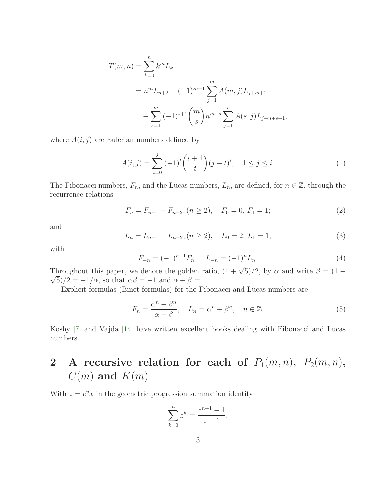$$
T(m, n) = \sum_{k=0}^{n} k^{m} L_{k}
$$
  
=  $n^{m} L_{n+2} + (-1)^{m+1} \sum_{j=1}^{m} A(m, j) L_{j+m+1}$   

$$
- \sum_{s=1}^{m} (-1)^{s+1} {m \choose s} n^{m-s} \sum_{j=1}^{s} A(s, j) L_{j+n+s+1},
$$

where  $A(i, j)$  are Eulerian numbers defined by

<span id="page-2-0"></span>
$$
A(i,j) = \sum_{t=0}^{j} (-1)^{t} {i+1 \choose t} (j-t)^{i}, \quad 1 \le j \le i.
$$
 (1)

The Fibonacci numbers,  $F_n$ , and the Lucas numbers,  $L_n$ , are defined, for  $n \in \mathbb{Z}$ , through the recurrence relations

$$
F_n = F_{n-1} + F_{n-2}, (n \ge 2), \quad F_0 = 0, F_1 = 1;
$$
\n(2)

and

$$
L_n = L_{n-1} + L_{n-2}, (n \ge 2), \quad L_0 = 2, L_1 = 1;
$$
\n(3)

with

$$
F_{-n} = (-1)^{n-1} F_n, \quad L_{-n} = (-1)^n L_n.
$$
 (4)

Throughout this paper, we denote the golden ratio,  $(1 + \sqrt{5})/2$ , by  $\alpha$  and write  $\beta = (1 - \sqrt{5})/2$  $\sqrt{5}/2 = -1/\alpha$ , so that  $\alpha\beta = -1$  and  $\alpha + \beta = 1$ .

Explicit formulas (Binet formulas) for the Fibonacci and Lucas numbers are

$$
F_n = \frac{\alpha^n - \beta^n}{\alpha - \beta}, \quad L_n = \alpha^n + \beta^n, \quad n \in \mathbb{Z}.
$$
 (5)

Koshy [\[7\]](#page-13-5) and Vajda [\[14\]](#page-14-2) have written excellent books dealing with Fibonacci and Lucas numbers.

# 2 A recursive relation for each of  $P_1(m,n)$ ,  $P_2(m,n)$ ,  $C(m)$  and  $K(m)$

With  $z = e^y x$  in the geometric progression summation identity

$$
\sum_{k=0}^{n} z^{k} = \frac{z^{n+1} - 1}{z - 1},
$$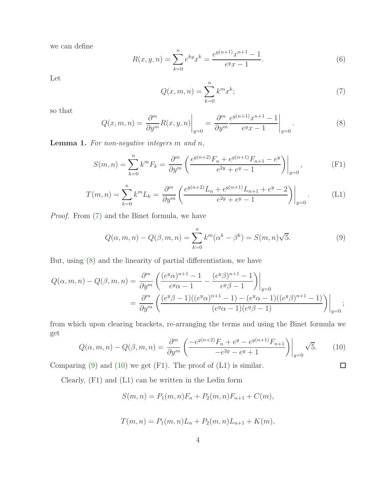we can define

$$
R(x, y, n) = \sum_{k=0}^{n} e^{ky} x^{k} = \frac{e^{y(n+1)} x^{n+1} - 1}{e^{y} x - 1}.
$$
 (6)

Let

<span id="page-3-0"></span>
$$
Q(x, m, n) = \sum_{k=0}^{n} k^{m} x^{k};
$$
\n(7)

so that

<span id="page-3-1"></span>
$$
Q(x, m, n) = \frac{\partial^m}{\partial y^m} R(x, y, n) \Big|_{y=0} = \frac{\partial^m}{\partial y^m} \frac{e^{y(n+1)} x^{n+1} - 1}{e^y x - 1} \Big|_{y=0}.
$$
 (8)

Lemma 1. *For non-negative integers* m *and* n*,*

$$
S(m,n) = \sum_{k=0}^{n} k^{m} F_{k} = \frac{\partial^{m}}{\partial y^{m}} \left( \frac{e^{y(n+2)} F_{n} + e^{y(n+1)} F_{n+1} - e^{y}}{e^{2y} + e^{y} - 1} \right) \Big|_{y=0},
$$
 (F1)

$$
T(m,n) = \sum_{k=0}^{n} k^{m} L_{k} = \frac{\partial^{m}}{\partial y^{m}} \left( \frac{e^{y(n+2)} L_{n} + e^{y(n+1)} L_{n+1} + e^{y} - 2}{e^{2y} + e^{y} - 1} \right) \Big|_{y=0}.
$$
 (L1)

*Proof.* From [\(7\)](#page-3-0) and the Binet formula, we have

<span id="page-3-2"></span>
$$
Q(\alpha, m, n) - Q(\beta, m, n) = \sum_{k=0}^{n} k^{m} (\alpha^{k} - \beta^{k}) = S(m, n)\sqrt{5}.
$$
 (9)

But, using [\(8\)](#page-3-1) and the linearity of partial differentiation, we have

$$
Q(\alpha, m, n) - Q(\beta, m, n) = \frac{\partial^m}{\partial y^m} \left( \frac{(e^y \alpha)^{n+1} - 1}{e^y \alpha - 1} - \frac{(e^y \beta)^{n+1} - 1}{e^y \beta - 1} \right) \Big|_{y=0}
$$
  
= 
$$
\frac{\partial^m}{\partial y^m} \left( \frac{(e^y \beta - 1)((e^y \alpha)^{n+1} - 1) - (e^y \alpha - 1)((e^y \beta)^{n+1} - 1)}{(e^y \alpha - 1)(e^y \beta - 1)} \right) \Big|_{y=0};
$$

from which upon clearing brackets, re-arranging the terms and using the Binet formula we get

<span id="page-3-3"></span>
$$
Q(\alpha, m, n) - Q(\beta, m, n) = \frac{\partial^m}{\partial y^m} \left( \frac{-e^{y(n+2)} F_n + e^y - e^{y(n+1)} F_{n+1}}{-e^{2y} - e^y + 1} \right) \Big|_{y=0} \sqrt{5}.
$$
 (10)

 $\Box$ 

Comparing  $(9)$  and  $(10)$  we get  $(F1)$ . The proof of  $(L1)$  is similar.

Clearly, (F1) and (L1) can be written in the Ledin form

$$
S(m, n) = P_1(m, n)F_n + P_2(m, n)F_{n+1} + C(m),
$$

$$
T(m, n) = P_1(m, n)L_n + P_2(m, n)L_{n+1} + K(m),
$$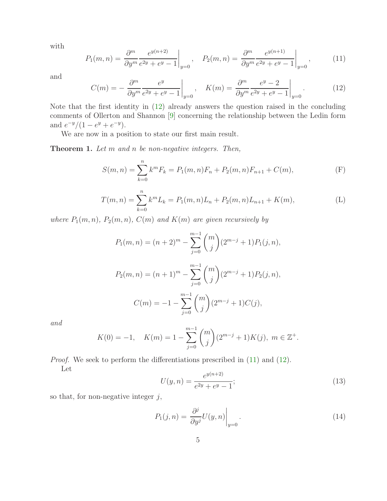with

<span id="page-4-1"></span>
$$
P_1(m,n) = \frac{\partial^m}{\partial y^m} \frac{e^{y(n+2)}}{e^{2y} + e^y - 1} \bigg|_{y=0}, \quad P_2(m,n) = \frac{\partial^m}{\partial y^m} \frac{e^{y(n+1)}}{e^{2y} + e^y - 1} \bigg|_{y=0}, \quad (11)
$$

and

<span id="page-4-0"></span>
$$
C(m) = -\frac{\partial^m}{\partial y^m} \frac{e^y}{e^{2y} + e^y - 1} \bigg|_{y=0}, \quad K(m) = \frac{\partial^m}{\partial y^m} \frac{e^y - 2}{e^{2y} + e^y - 1} \bigg|_{y=0}.
$$
 (12)

Note that the first identity in [\(12\)](#page-4-0) already answers the question raised in the concluding comments of Ollerton and Shannon [\[9\]](#page-13-3) concerning the relationship between the Ledin form and  $e^{-y}/(1-e^y+e^{-y}).$ 

We are now in a position to state our first main result.

Theorem 1. *Let* m *and* n *be non-negative integers. Then,*

$$
S(m,n) = \sum_{k=0}^{n} k^{m} F_{k} = P_{1}(m,n)F_{n} + P_{2}(m,n)F_{n+1} + C(m),
$$
 (F)

$$
T(m,n) = \sum_{k=0}^{n} k^{m} L_{k} = P_{1}(m,n) L_{n} + P_{2}(m,n) L_{n+1} + K(m),
$$
 (L)

*where*  $P_1(m, n)$ *,*  $P_2(m, n)$ *,*  $C(m)$  *and*  $K(m)$  *are given recursively by* 

$$
P_1(m, n) = (n+2)^m - \sum_{j=0}^{m-1} {m \choose j} (2^{m-j} + 1) P_1(j, n),
$$
  
\n
$$
P_2(m, n) = (n+1)^m - \sum_{j=0}^{m-1} {m \choose j} (2^{m-j} + 1) P_2(j, n),
$$
  
\n
$$
C(m) = -1 - \sum_{j=0}^{m-1} {m \choose j} (2^{m-j} + 1) C(j),
$$

*and*

$$
K(0) = -1, \quad K(m) = 1 - \sum_{j=0}^{m-1} {m \choose j} (2^{m-j} + 1) K(j), \ m \in \mathbb{Z}^+.
$$

*Proof.* We seek to perform the differentiations prescribed in  $(11)$  and  $(12)$ . Let

<span id="page-4-2"></span>
$$
U(y,n) = \frac{e^{y(n+2)}}{e^{2y} + e^y - 1};
$$
\n(13)

so that, for non-negative integer  $j$ ,

<span id="page-4-3"></span>
$$
P_1(j,n) = \left. \frac{\partial^j}{\partial y^j} U(y,n) \right|_{y=0}.
$$
\n(14)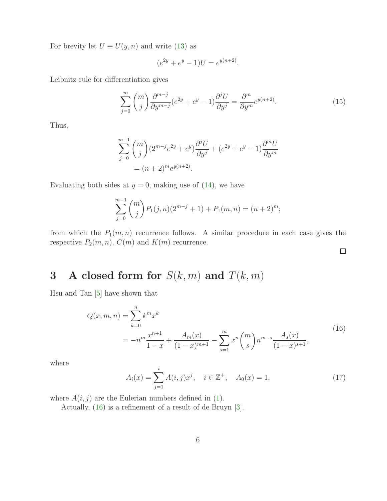For brevity let  $U \equiv U(y, n)$  and write [\(13\)](#page-4-2) as

$$
(e^{2y} + e^y - 1)U = e^{y(n+2)}.
$$

Leibnitz rule for differentiation gives

$$
\sum_{j=0}^{m} \binom{m}{j} \frac{\partial^{m-j}}{\partial y^{m-j}} (e^{2y} + e^y - 1) \frac{\partial^j U}{\partial y^j} = \frac{\partial^m}{\partial y^m} e^{y(n+2)}.
$$
 (15)

Thus,

$$
\sum_{j=0}^{m-1} {m \choose j} (2^{m-j}e^{2y} + e^y) \frac{\partial^j U}{\partial y^j} + (e^{2y} + e^y - 1) \frac{\partial^m U}{\partial y^m}
$$
  
=  $(n+2)^m e^{y(n+2)}$ .

Evaluating both sides at  $y = 0$ , making use of [\(14\)](#page-4-3), we have

$$
\sum_{j=0}^{m-1} {m \choose j} P_1(j,n) (2^{m-j} + 1) + P_1(m,n) = (n+2)^m;
$$

from which the  $P_1(m, n)$  recurrence follows. A similar procedure in each case gives the respective  $P_2(m, n)$ ,  $C(m)$  and  $K(m)$  recurrence.

# 3 A closed form for  $S(k, m)$  and  $T(k, m)$

<span id="page-5-0"></span>Hsu and Tan [\[5\]](#page-13-6) have shown that

$$
Q(x, m, n) = \sum_{k=0}^{n} k^{m} x^{k}
$$
  
= 
$$
-n^{m} \frac{x^{n+1}}{1-x} + \frac{A_{m}(x)}{(1-x)^{m+1}} - \sum_{s=1}^{m} x^{n} {m \choose s} n^{m-s} \frac{A_{s}(x)}{(1-x)^{s+1}},
$$
 (16)

where

<span id="page-5-1"></span>
$$
A_i(x) = \sum_{j=1}^i A(i,j)x^j, \quad i \in \mathbb{Z}^+, \quad A_0(x) = 1,
$$
 (17)

 $\Box$ 

where  $A(i, j)$  are the Eulerian numbers defined in [\(1\)](#page-2-0).

Actually, [\(16\)](#page-5-0) is a refinement of a result of de Bruyn [\[3\]](#page-13-7).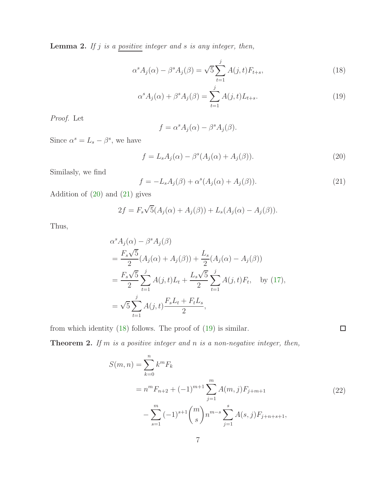<span id="page-6-6"></span>Lemma 2. *If* j *is a positive integer and* s *is any integer, then,*

$$
\alpha^{s} A_{j}(\alpha) - \beta^{s} A_{j}(\beta) = \sqrt{5} \sum_{t=1}^{j} A(j, t) F_{t+s},
$$
\n(18)

$$
\alpha^s A_j(\alpha) + \beta^s A_j(\beta) = \sum_{t=1}^j A(j, t) L_{t+s}.
$$
\n(19)

*Proof.* Let

<span id="page-6-3"></span><span id="page-6-2"></span>
$$
f = \alpha^{s} A_{j}(\alpha) - \beta^{s} A_{j}(\beta).
$$

Since  $\alpha^s = L_s - \beta^s$ , we have

<span id="page-6-0"></span>
$$
f = L_s A_j(\alpha) - \beta^s (A_j(\alpha) + A_j(\beta)).
$$
\n(20)

Similasly, we find

<span id="page-6-1"></span>
$$
f = -L_s A_j(\beta) + \alpha^s (A_j(\alpha) + A_j(\beta)).
$$
\n(21)

Addition of [\(20\)](#page-6-0) and [\(21\)](#page-6-1) gives

$$
2f = F_s \sqrt{5}(A_j(\alpha) + A_j(\beta)) + L_s(A_j(\alpha) - A_j(\beta)).
$$

Thus,

$$
\alpha^{s} A_{j}(\alpha) - \beta^{s} A_{j}(\beta)
$$
\n
$$
= \frac{F_{s}\sqrt{5}}{2} (A_{j}(\alpha) + A_{j}(\beta)) + \frac{L_{s}}{2} (A_{j}(\alpha) - A_{j}(\beta))
$$
\n
$$
= \frac{F_{s}\sqrt{5}}{2} \sum_{t=1}^{j} A(j,t)L_{t} + \frac{L_{s}\sqrt{5}}{2} \sum_{t=1}^{j} A(j,t)F_{t}, \text{ by (17)},
$$
\n
$$
= \sqrt{5} \sum_{t=1}^{j} A(j,t) \frac{F_{s}L_{t} + F_{t}L_{s}}{2},
$$

from which identity [\(18\)](#page-6-2) follows. The proof of [\(19\)](#page-6-3) is similar.

<span id="page-6-5"></span><span id="page-6-4"></span>Theorem 2. *If* m *is a positive integer and* n *is a non-negative integer, then,*

$$
S(m, n) = \sum_{k=0}^{n} k^{m} F_{k}
$$
  
=  $n^{m} F_{n+2} + (-1)^{m+1} \sum_{j=1}^{m} A(m, j) F_{j+m+1}$  (22)  

$$
- \sum_{s=1}^{m} (-1)^{s+1} {m \choose s} n^{m-s} \sum_{j=1}^{s} A(s, j) F_{j+n+s+1},
$$

 $\Box$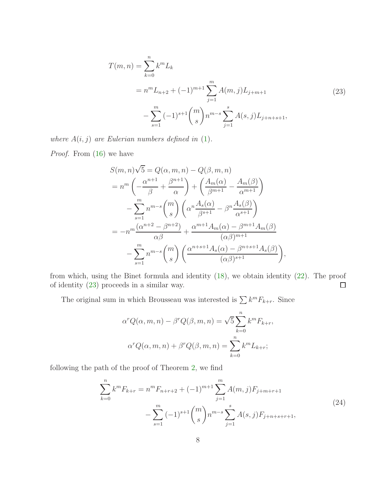$$
T(m, n) = \sum_{k=0}^{n} k^{m} L_{k}
$$
  
=  $n^{m} L_{n+2} + (-1)^{m+1} \sum_{j=1}^{m} A(m, j) L_{j+m+1}$  (23)  

$$
- \sum_{s=1}^{m} (-1)^{s+1} {m \choose s} n^{m-s} \sum_{j=1}^{s} A(s, j) L_{j+n+s+1},
$$

<span id="page-7-0"></span>*where*  $A(i, j)$  *are Eulerian numbers defined in*  $(1)$ *.* 

*Proof.* From [\(16\)](#page-5-0) we have

$$
S(m,n)\sqrt{5} = Q(\alpha, m, n) - Q(\beta, m, n)
$$
  
=  $n^m \left( -\frac{\alpha^{n+1}}{\beta} + \frac{\beta^{n+1}}{\alpha} \right) + \left( \frac{A_m(\alpha)}{\beta^{m+1}} - \frac{A_m(\beta)}{\alpha^{m+1}} \right)$   
 $- \sum_{s=1}^m n^{m-s} {m \choose s} \left( \alpha^n \frac{A_s(\alpha)}{\beta^{s+1}} - \beta^n \frac{A_s(\beta)}{\alpha^{s+1}} \right)$   
=  $-n^m \frac{(\alpha^{n+2} - \beta^{n+2})}{\alpha \beta} + \frac{\alpha^{m+1} A_m(\alpha) - \beta^{m+1} A_m(\beta)}{(\alpha \beta)^{m+1}}$   
 $- \sum_{s=1}^m n^{m-s} {m \choose s} \left( \frac{\alpha^{n+s+1} A_s(\alpha) - \beta^{n+s+1} A_s(\beta)}{(\alpha \beta)^{s+1}} \right),$ 

from which, using the Binet formula and identity [\(18\)](#page-6-2), we obtain identity [\(22\)](#page-6-4). The proof of identity [\(23\)](#page-7-0) proceeds in a similar way.  $\Box$ 

The original sum in which Brousseau was interested is  $\sum k^m F_{k+r}$ . Since

$$
\alpha^r Q(\alpha, m, n) - \beta^r Q(\beta, m, n) = \sqrt{5} \sum_{k=0}^n k^m F_{k+r},
$$

$$
\alpha^r Q(\alpha, m, n) + \beta^r Q(\beta, m, n) = \sum_{k=0}^n k^m L_{k+r};
$$

following the path of the proof of Theorem [2,](#page-6-5) we find

$$
\sum_{k=0}^{n} k^{m} F_{k+r} = n^{m} F_{n+r+2} + (-1)^{m+1} \sum_{j=1}^{m} A(m,j) F_{j+m+r+1}
$$
  

$$
- \sum_{s=1}^{m} (-1)^{s+1} {m \choose s} n^{m-s} \sum_{j=1}^{s} A(s,j) F_{j+n+s+r+1},
$$
(24)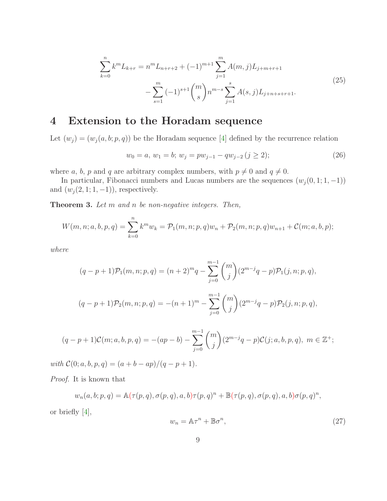$$
\sum_{k=0}^{n} k^{m} L_{k+r} = n^{m} L_{n+r+2} + (-1)^{m+1} \sum_{j=1}^{m} A(m, j) L_{j+m+r+1}
$$
  

$$
- \sum_{s=1}^{m} (-1)^{s+1} {m \choose s} n^{m-s} \sum_{j=1}^{s} A(s, j) L_{j+n+s+r+1}.
$$
 (25)

## 4 Extension to the Horadam sequence

Let  $(w_i) = (w_i(a, b; p, q))$  be the Horadam sequence [\[4\]](#page-13-8) defined by the recurrence relation

<span id="page-8-1"></span>
$$
w_0 = a, w_1 = b; w_j = pw_{j-1} - qw_{j-2} (j \ge 2); \tag{26}
$$

where a, b, p and q are arbitrary complex numbers, with  $p \neq 0$  and  $q \neq 0$ .

In particular, Fibonacci numbers and Lucas numbers are the sequences  $(w_j(0, 1; 1, -1))$ and  $(w_j (2, 1; 1, -1))$ , respectively.

Theorem 3. *Let* m *and* n *be non-negative integers. Then,*

$$
W(m, n; a, b, p, q) = \sum_{k=0}^{n} k^{m} w_{k} = \mathcal{P}_{1}(m, n; p, q) w_{n} + \mathcal{P}_{2}(m, n; p, q) w_{n+1} + \mathcal{C}(m; a, b, p);
$$

*where*

$$
(q-p+1)\mathcal{P}_1(m,n;p,q) = (n+2)^m q - \sum_{j=0}^{m-1} {m \choose j} (2^{m-j}q-p)\mathcal{P}_1(j,n;p,q),
$$
  

$$
(q-p+1)\mathcal{P}_2(m,n;p,q) = -(n+1)^m - \sum_{j=0}^{m-1} {m \choose j} (2^{m-j}q-p)\mathcal{P}_2(j,n;p,q),
$$

$$
(q-p+1)\mathcal{C}(m;a,b,p,q) = -(ap-b) - \sum_{j=0}^{m-1} \binom{m}{j} (2^{m-j}q-p)\mathcal{C}(j;a,b,p,q), \ m \in \mathbb{Z}^+;
$$

*with*  $C(0; a, b, p, q) = (a + b - ap)/(q - p + 1)$ *.* 

*Proof.* It is known that

$$
w_n(a,b;p,q) = \mathbb{A}(\tau(p,q),\sigma(p,q),a,b)\tau(p,q)^n + \mathbb{B}(\tau(p,q),\sigma(p,q),a,b)\sigma(p,q)^n,
$$

or briefly [\[4\]](#page-13-8),

<span id="page-8-0"></span>
$$
w_n = \mathbb{A}\tau^n + \mathbb{B}\sigma^n,\tag{27}
$$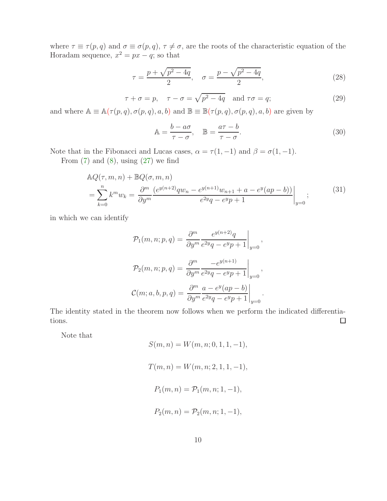where  $\tau \equiv \tau(p,q)$  and  $\sigma \equiv \sigma(p,q)$ ,  $\tau \neq \sigma$ , are the roots of the characteristic equation of the Horadam sequence,  $x^2 = px - q$ ; so that

$$
\tau = \frac{p + \sqrt{p^2 - 4q}}{2}, \quad \sigma = \frac{p - \sqrt{p^2 - 4q}}{2}, \tag{28}
$$

$$
\tau + \sigma = p, \quad \tau - \sigma = \sqrt{p^2 - 4q} \quad \text{and } \tau\sigma = q;
$$
 (29)

and where  $\mathbb{A} \equiv \mathbb{A}(\tau(p,q), \sigma(p,q), a, b)$  and  $\mathbb{B} \equiv \mathbb{B}(\tau(p,q), \sigma(p,q), a, b)$  are given by

$$
\mathbb{A} = \frac{b - a\sigma}{\tau - \sigma}, \quad \mathbb{B} = \frac{a\tau - b}{\tau - \sigma}.
$$
\n(30)

Note that in the Fibonacci and Lucas cases,  $\alpha = \tau(1, -1)$  and  $\beta = \sigma(1, -1)$ .

From  $(7)$  and  $(8)$ , using  $(27)$  we find

$$
\begin{aligned} &\mathbb{A}Q(\tau,m,n) + \mathbb{B}Q(\sigma,m,n) \\ &= \sum_{k=0}^{n} k^m w_k = \frac{\partial^m}{\partial y^m} \frac{(e^{y(n+2)}qw_n - e^{y(n+1)}w_{n+1} + a - e^y(ap-b))}{e^{2y}q - e^y p + 1} \Big|_{y=0}; \end{aligned} \tag{31}
$$

in which we can identify

$$
\mathcal{P}_1(m, n; p, q) = \frac{\partial^m}{\partial y^m} \frac{e^{y(n+2)}q}{e^{2y}q - e^y p + 1} \Big|_{y=0},
$$
  

$$
\mathcal{P}_2(m, n; p, q) = \frac{\partial^m}{\partial y^m} \frac{-e^{y(n+1)}}{e^{2y}q - e^y p + 1} \Big|_{y=0},
$$
  

$$
\mathcal{C}(m; a, b, p, q) = \frac{\partial^m}{\partial y^m} \frac{a - e^y(ap - b)}{e^{2y}q - e^y p + 1} \Big|_{y=0}.
$$

The identity stated in the theorem now follows when we perform the indicated differentiations.  $\Box$ 

Note that

$$
S(m, n) = W(m, n; 0, 1, 1, -1),
$$
  
\n
$$
T(m, n) = W(m, n; 2, 1, 1, -1),
$$
  
\n
$$
P_1(m, n) = P_1(m, n; 1, -1),
$$
  
\n
$$
P_2(m, n) = P_2(m, n; 1, -1),
$$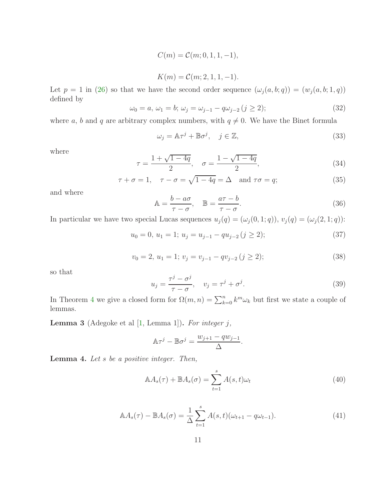$$
C(m) = C(m; 0, 1, 1, -1),
$$

$$
K(m) = \mathcal{C}(m; 2, 1, 1, -1).
$$

Let  $p = 1$  in [\(26\)](#page-8-1) so that we have the second order sequence  $(\omega_j(a, b; q)) = (w_j(a, b; 1, q))$ defined by

$$
\omega_0 = a, \, \omega_1 = b; \, \omega_j = \omega_{j-1} - q\omega_{j-2} \, (j \ge 2); \tag{32}
$$

where a, b and q are arbitrary complex numbers, with  $q \neq 0$ . We have the Binet formula

$$
\omega_j = \mathbb{A}\tau^j + \mathbb{B}\sigma^j, \quad j \in \mathbb{Z}, \tag{33}
$$

where

$$
\tau = \frac{1 + \sqrt{1 - 4q}}{2}, \quad \sigma = \frac{1 - \sqrt{1 - 4q}}{2}, \tag{34}
$$

$$
\tau + \sigma = 1, \quad \tau - \sigma = \sqrt{1 - 4q} = \Delta \quad \text{and } \tau\sigma = q;
$$
 (35)

and where

$$
\mathbb{A} = \frac{b - a\sigma}{\tau - \sigma}, \quad \mathbb{B} = \frac{a\tau - b}{\tau - \sigma}.
$$
\n(36)

In particular we have two special Lucas sequences  $u_j(q) = (\omega_j(0, 1; q))$ ,  $v_j(q) = (\omega_j(2, 1; q))$ :

$$
u_0 = 0, u_1 = 1; u_j = u_{j-1} - qu_{j-2} (j \ge 2); \tag{37}
$$

$$
v_0 = 2, u_1 = 1; v_j = v_{j-1} - qv_{j-2} (j \ge 2); \tag{38}
$$

so that

$$
u_j = \frac{\tau^j - \sigma^j}{\tau - \sigma}, \quad v_j = \tau^j + \sigma^j. \tag{39}
$$

In Theorem [4](#page-11-0) we give a closed form for  $\Omega(m,n) = \sum_{k=0}^{n} k^{m} \omega_k$  but first we state a couple of lemmas.

Lemma 3 (Adegoke et al [\[1,](#page-13-9) Lemma 1]). *For integer* j*,*

$$
\mathbb{A}\tau^{j} - \mathbb{B}\sigma^{j} = \frac{w_{j+1} - qw_{j-1}}{\Delta}.
$$

<span id="page-10-0"></span>Lemma 4. *Let* s *be a positive integer. Then,*

$$
\mathbb{A}A_s(\tau) + \mathbb{B}A_s(\sigma) = \sum_{t=1}^s A(s, t)\omega_t
$$
\n(40)

$$
\mathbb{A}A_s(\tau) - \mathbb{B}A_s(\sigma) = \frac{1}{\Delta} \sum_{t=1}^s A(s, t)(\omega_{t+1} - q\omega_{t-1}). \tag{41}
$$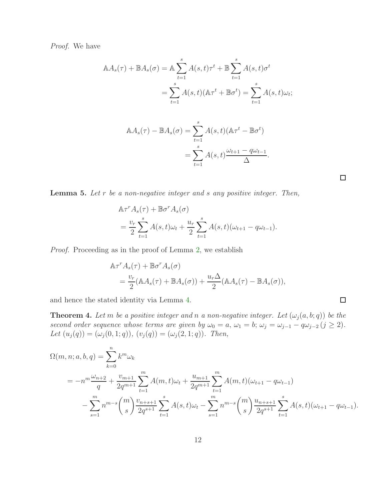*Proof.* We have

$$
\mathbb{A}A_s(\tau) + \mathbb{B}A_s(\sigma) = \mathbb{A} \sum_{t=1}^s A(s, t)\tau^t + \mathbb{B} \sum_{t=1}^s A(s, t)\sigma^t
$$

$$
= \sum_{t=1}^s A(s, t)(\mathbb{A}\tau^t + \mathbb{B}\sigma^t) = \sum_{t=1}^s A(s, t)\omega_t;
$$

$$
\begin{aligned} \mathbb{A}A_s(\tau) - \mathbb{B}A_s(\sigma) &= \sum_{t=1}^s A(s,t)(\mathbb{A}\tau^t - \mathbb{B}\sigma^t) \\ &= \sum_{t=1}^s A(s,t) \frac{\omega_{t+1} - q\omega_{t-1}}{\Delta} .\end{aligned}
$$

 $\Box$ 

 $\Box$ 

<span id="page-11-1"></span>Lemma 5. *Let* r *be a non-negative integer and* s *any positive integer. Then,*

$$
\begin{aligned} &\mathbb{A}\tau^r A_s(\tau) + \mathbb{B}\sigma^r A_s(\sigma) \\ &= \frac{v_r}{2} \sum_{t=1}^s A(s,t)\omega_t + \frac{u_r}{2} \sum_{t=1}^s A(s,t)(\omega_{t+1} - q\omega_{t-1}). \end{aligned}
$$

*Proof.* Proceeding as in the proof of Lemma [2,](#page-6-6) we establish

$$
\begin{aligned} \mathbb{A}\tau^r A_s(\tau) + \mathbb{B}\sigma^r A_s(\sigma) \\ &= \frac{v_r}{2} (\mathbb{A}A_s(\tau) + \mathbb{B}A_s(\sigma)) + \frac{u_r \Delta}{2} (\mathbb{A}A_s(\tau) - \mathbb{B}A_s(\sigma)), \end{aligned}
$$

and hence the stated identity via Lemma [4.](#page-10-0)

<span id="page-11-0"></span>**Theorem 4.** Let m be a positive integer and n a non-negative integer. Let  $(\omega_j(a, b; q))$  be the *second order sequence whose terms are given by*  $\omega_0 = a$ ,  $\omega_1 = b$ ;  $\omega_j = \omega_{j-1} - q\omega_{j-2}$  ( $j \ge 2$ ). *Let*  $(u_j(q)) = (\omega_j(0, 1; q)), (v_j(q)) = (\omega_j(2, 1; q))$ *. Then,* 

$$
\Omega(m, n; a, b, q) = \sum_{k=0}^{n} k^{m} \omega_{k}
$$
\n
$$
= -n^{m} \frac{\omega_{n+2}}{q} + \frac{v_{m+1}}{2q^{m+1}} \sum_{t=1}^{m} A(m, t) \omega_{t} + \frac{u_{m+1}}{2q^{m+1}} \sum_{t=1}^{m} A(m, t) (\omega_{t+1} - q \omega_{t-1})
$$
\n
$$
- \sum_{s=1}^{m} n^{m-s} {m \choose s} \frac{v_{n+s+1}}{2q^{s+1}} \sum_{t=1}^{s} A(s, t) \omega_{t} - \sum_{s=1}^{m} n^{m-s} {m \choose s} \frac{u_{n+s+1}}{2q^{s+1}} \sum_{t=1}^{s} A(s, t) (\omega_{t+1} - q \omega_{t-1}).
$$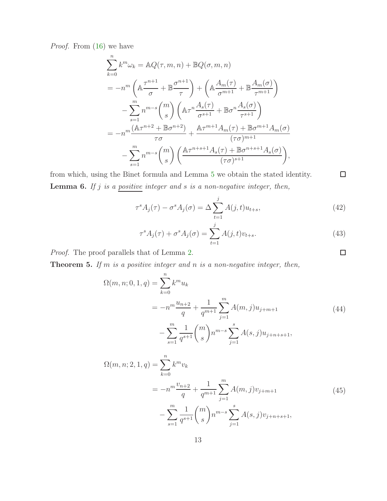*Proof.* From [\(16\)](#page-5-0) we have

$$
\sum_{k=0}^{n} k^{m} \omega_{k} = \mathbb{A}Q(\tau, m, n) + \mathbb{B}Q(\sigma, m, n)
$$
  
\n
$$
= -n^{m} \left( \mathbb{A} \frac{\tau^{n+1}}{\sigma} + \mathbb{B} \frac{\sigma^{n+1}}{\tau} \right) + \left( \mathbb{A} \frac{A_{m}(\tau)}{\sigma^{m+1}} + \mathbb{B} \frac{A_{m}(\sigma)}{\tau^{m+1}} \right)
$$
  
\n
$$
- \sum_{s=1}^{m} n^{m-s} {m \choose s} \left( \mathbb{A} \tau^{n} \frac{A_{s}(\tau)}{\sigma^{s+1}} + \mathbb{B} \sigma^{n} \frac{A_{s}(\sigma)}{\tau^{s+1}} \right)
$$
  
\n
$$
= -n^{m} \frac{(\mathbb{A} \tau^{n+2} + \mathbb{B} \sigma^{n+2})}{\tau \sigma} + \frac{\mathbb{A} \tau^{m+1} A_{m}(\tau) + \mathbb{B} \sigma^{m+1} A_{m}(\sigma)}{(\tau \sigma)^{m+1}}
$$
  
\n
$$
- \sum_{s=1}^{m} n^{m-s} {m \choose s} \left( \frac{\mathbb{A} \tau^{n+s+1} A_{s}(\tau) + \mathbb{B} \sigma^{n+s+1} A_{s}(\sigma)}{(\tau \sigma)^{s+1}} \right),
$$

from which, using the Binet formula and Lemma [5](#page-11-1) we obtain the stated identity. Lemma 6. *If* j *is a positive integer and* s *is a non-negative integer, then,*

$$
\tau^s A_j(\tau) - \sigma^s A_j(\sigma) = \Delta \sum_{t=1}^j A(j, t) u_{t+s},\tag{42}
$$

$$
\tau^s A_j(\tau) + \sigma^s A_j(\sigma) = \sum_{t=1}^j A(j, t)v_{t+s}.
$$
\n(43)

*Proof.* The proof parallels that of Lemma [2.](#page-6-6)

<span id="page-12-2"></span><span id="page-12-0"></span>Theorem 5. *If* m *is a positive integer and* n *is a non-negative integer, then,*

$$
\Omega(m, n; 0, 1, q) = \sum_{k=0}^{n} k^{m} u_{k}
$$
  
=  $-n^{m} \frac{u_{n+2}}{q} + \frac{1}{q^{m+1}} \sum_{j=1}^{m} A(m, j) u_{j+m+1}$   
 $- \sum_{s=1}^{m} \frac{1}{q^{s+1}} {m \choose s} n^{m-s} \sum_{j=1}^{s} A(s, j) u_{j+n+s+1},$  (44)

<span id="page-12-3"></span>
$$
\Omega(m, n; 2, 1, q) = \sum_{k=0}^{n} k^{m} v_{k}
$$
\n
$$
= -n^{m} \frac{v_{n+2}}{q} + \frac{1}{q^{m+1}} \sum_{j=1}^{m} A(m, j) v_{j+m+1}
$$
\n
$$
- \sum_{s=1}^{m} \frac{1}{q^{s+1}} {m \choose s} n^{m-s} \sum_{j=1}^{s} A(s, j) v_{j+n+s+1},
$$
\n(45)

 $\Box$ 

<span id="page-12-1"></span> $\Box$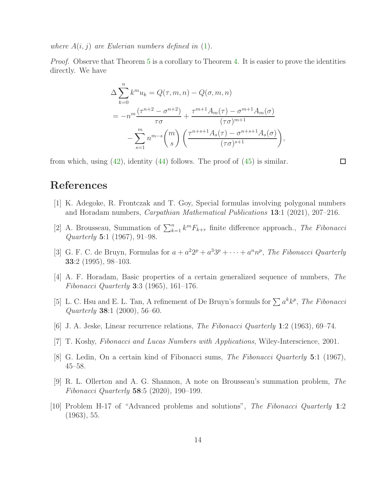*where*  $A(i, j)$  *are Eulerian numbers defined in* [\(1\)](#page-2-0).

*Proof.* Observe that Theorem [5](#page-12-0) is a corollary to Theorem [4.](#page-11-0) It is easier to prove the identities directly. We have

$$
\Delta \sum_{k=0}^{n} k^{m} u_{k} = Q(\tau, m, n) - Q(\sigma, m, n)
$$
  
= 
$$
-n^{m} \frac{(\tau^{n+2} - \sigma^{n+2})}{\tau \sigma} + \frac{\tau^{m+1} A_{m}(\tau) - \sigma^{m+1} A_{m}(\sigma)}{(\tau \sigma)^{m+1}}
$$
  

$$
- \sum_{s=1}^{m} n^{m-s} {m \choose s} \left( \frac{\tau^{n+s+1} A_{s}(\tau) - \sigma^{n+s+1} A_{s}(\sigma)}{(\tau \sigma)^{s+1}} \right),
$$

from which, using  $(42)$ , identity  $(44)$  follows. The proof of  $(45)$  is similar.

 $\Box$ 

### <span id="page-13-9"></span>References

- [1] K. Adegoke, R. Frontczak and T. Goy, Special formulas involving polygonal numbers and Horadam numbers, *Carpathian Mathematical Publications* 13:1 (2021), 207–216.
- <span id="page-13-1"></span>[2] A. Brousseau, Summation of  $\sum_{k=1}^{n} k^{m} F_{k+r}$  finite difference approach., *The Fibonacci Quarterly* 5:1 (1967), 91–98.
- <span id="page-13-7"></span>[3] G. F. C. de Bruyn, Formulas for  $a + a^2 2^p + a^3 3^p + \cdots + a^n n^p$ , *The Fibonacci Quarterly* 33:2 (1995), 98–103.
- <span id="page-13-8"></span>[4] A. F. Horadam, Basic properties of a certain generalized sequence of numbers, *The Fibonacci Quarterly* 3:3 (1965), 161–176.
- <span id="page-13-6"></span>[5] L. C. Hsu and E. L. Tan, A refinement of De Bruyn's formuls for  $\sum a^k k^p$ , *The Fibonacci Quarterly* 38:1 (2000), 56–60.
- <span id="page-13-5"></span><span id="page-13-0"></span>[6] J. A. Jeske, Linear recurrence relations, *The Fibonacci Quarterly* 1:2 (1963), 69–74.
- <span id="page-13-2"></span>[7] T. Koshy, *Fibonacci and Lucas Numbers with Applications*, Wiley-Interscience, 2001.
- <span id="page-13-3"></span>[8] G. Ledin, On a certain kind of Fibonacci sums, *The Fibonacci Quarterly* 5:1 (1967), 45–58.
- [9] R. L. Ollerton and A. G. Shannon, A note on Brousseau's summation problem, *The Fibonacci Quarterly* 58:5 (2020), 190–199.
- <span id="page-13-4"></span>[10] Problem H-17 of "Advanced problems and solutions", *The Fibonacci Quarterly* 1:2 (1963), 55.